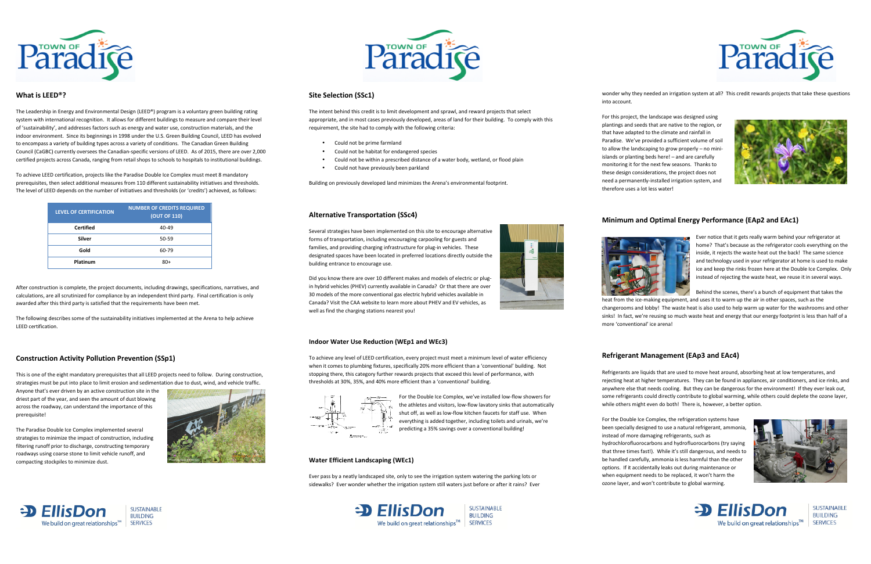

## **What is LEED®?**

The Leadership in Energy and Environmental Design (LEED®) program is a voluntary green building rating system with international recognition. It allows for different buildings to measure and compare their level of 'sustainability', and addresses factors such as energy and water use, construction materials, and the indoor environment. Since its beginnings in 1998 under the U.S. Green Building Council, LEED has evolved to encompass a variety of building types across a variety of conditions. The Canadian Green Building Council (CaGBC) currently oversees the Canadian-specific versions of LEED. As of 2015, there are over 2,000 certified projects across Canada, ranging from retail shops to schools to hospitals to institutional buildings.

To achieve LEED certification, projects like the Paradise Double Ice Complex must meet 8 mandatory prerequisites, then select additional measures from 110 different sustainability initiatives and thresholds. The level of LEED depends on the number of initiatives and thresholds (or 'credits') achieved, as follows:

| <b>LEVEL OF CERTIFICATION</b> | <b>NUMBER OF CREDITS REQUIRED</b><br><b>(OUT OF 110)</b> |
|-------------------------------|----------------------------------------------------------|
| Certified                     | $40 - 49$                                                |
| Silver                        | $50 - 59$                                                |
| Gold                          | 60-79                                                    |
| Platinum                      | 80+                                                      |

After construction is complete, the project documents, including drawings, specifications, narratives, and calculations, are all scrutinized for compliance by an independent third party. Final certification is only awarded after this third party is satisfied that the requirements have been met.

The following describes some of the sustainability initiatives implemented at the Arena to help achieve LEED certification.

## **Construction Activity Pollution Prevention (SSp1)**

This is one of the eight mandatory prerequisites that all LEED projects need to follow. During construction, strategies must be put into place to limit erosion and sedimentation due to dust, wind, and vehicle traffic.

Anyone that's ever driven by an active construction site in the driest part of the year, and seen the amount of dust blowing across the roadway, can understand the importance of this prerequisite!

The Paradise Double Ice Complex implemented severalstrategies to minimize the impact of construction, including filtering runoff prior to discharge, constructing temporary roadways using coarse stone to limit vehicle runoff, and

compacting stockpiles to minimize dust.



## **Site Selection (SSc1)**

The intent behind this credit is to limit development and sprawl, and reward projects that select appropriate, and in most cases previously developed, areas of land for their building. To comply with this requirement, the site had to comply with the following criteria:

- •Could not be prime farmland
- •Could not be habitat for endangered species
- •Could not be within a prescribed distance of a water body, wetland, or flood plain
- •Could not have previously been parkland

Building on previously developed land minimizes the Arena's environmental footprint.

# **Alternative Transportation (SSc4)**

Refrigerants are liquids that are used to move heat around, absorbing heat at low temperatures, and rejecting heat at higher temperatures. They can be found in appliances, air conditioners, and ice rinks, and anywhere else that needs cooling. But they can be dangerous for the environment! If they ever leak out, some refrigerants could directly contribute to global warming, while others could deplete the ozone layer, while others might even do both! There is, however, a better option.

Several strategies have been implemented on this site to encourage alternative forms of transportation, including encouraging carpooling for guests and families, and providing charging infrastructure for plug-in vehicles. These designated spaces have been located in preferred locations directly outside the building entrance to encourage use.

Did you know there are over 10 different makes and models of electric or plugin hybrid vehicles (PHEV) currently available in Canada? Or that there are over 30 models of the more conventional gas electric hybrid vehicles available in Canada? Visit the CAA website to learn more about PHEV and EV vehicles, as well as find the charging stations nearest you!

#### **Indoor Water Use Reduction (WEp1 and WEc3)**

To achieve any level of LEED certification, every project must meet a minimum level of water efficiency when it comes to plumbing fixtures, specifically 20% more efficient than a 'conventional' building. Not stopping there, this category further rewards projects that exceed this level of performance, with thresholds at 30%, 35%, and 40% more efficient than a 'conventional' building.



For the Double Ice Complex, we've installed low-flow showers for the athletes and visitors, low-flow lavatory sinks that automatically shut off, as well as low-flow kitchen faucets for staff use. When everything is added together, including toilets and urinals, we're predicting a 35% savings over a conventional building!

#### **Water Efficient Landscaping (WEc1)**

Ever pass by a neatly landscaped site, only to see the irrigation system watering the parking lots or sidewalks? Ever wonder whether the irrigation system still waters just before or after it rains? Ever

> $\triangle$  FilisDon We build on great relationships $^{TM}$  SERVICES

**SUSTAINABLE BUILDING** 

wonder why they needed an irrigation system at all? This credit rewards projects that take these questions



into account.

For this project, the landscape was designed using plantings and seeds that are native to the region, or that have adapted to the climate and rainfall in Paradise. We've provided a sufficient volume of soil to allow the landscaping to grow properly – no miniislands or planting beds here! – and are carefully monitoring it for the next few seasons. Thanks to these design considerations, the project does not need a permanently-installed irrigation system, andtherefore uses a lot less water!

# **Minimum and Optimal Energy Performance (EAp2 and EAc1)**

Ever notice that it gets really warm behind your refrigerator at home? That's because as the refrigerator cools everything on the inside, it rejects the waste heat out the back! The same science and technology used in your refrigerator at home is used to make ice and keep the rinks frozen here at the Double Ice Complex. Only instead of rejecting the waste heat, we reuse it in several ways.

Behind the scenes, there's a bunch of equipment that takes the heat from the ice-making equipment, and uses it to warm up the air in other spaces, such as the

changerooms and lobby! The waste heat is also used to help warm up water for the washrooms and other sinks! In fact, we're reusing so much waste heat and energy that our energy footprint is less than half of a



more 'conventional' ice arena!

## **Refrigerant Management (EAp3 and EAc4)**





**SUSTAINABLE BUILDING SERVICES** 

For the Double Ice Complex, the refrigeration systems have been specially designed to use a natural refrigerant, ammonia, instead of more damaging refrigerants, such as hydrochlorofluorocarbons and hydrofluorocarbons (try saying that three times fast!). While it's still dangerous, and needs to be handled carefully, ammonia is less harmful than the other options. If it accidentally leaks out during maintenance or when equipment needs to be replaced, it won't harm the ozone layer, and won't contribute to global warming.